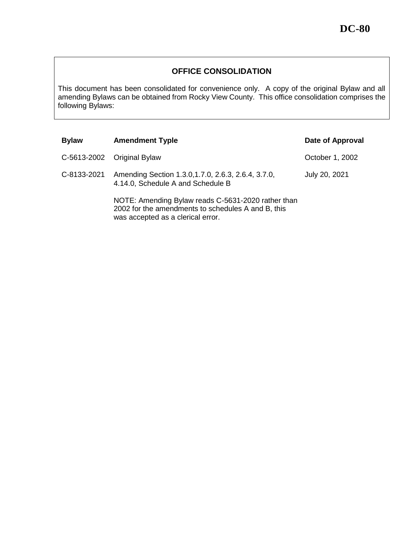## **OFFICE CONSOLIDATION**

This document has been consolidated for convenience only. A copy of the original Bylaw and all amending Bylaws can be obtained from Rocky View County. This office consolidation comprises the following Bylaws:

| <b>Bylaw</b> | <b>Amendment Typle</b>                                                                                                                        | Date of Approval |
|--------------|-----------------------------------------------------------------------------------------------------------------------------------------------|------------------|
|              | C-5613-2002 Original Bylaw                                                                                                                    | October 1, 2002  |
| C-8133-2021  | Amending Section 1.3.0, 1.7.0, 2.6.3, 2.6.4, 3.7.0,<br>4.14.0, Schedule A and Schedule B                                                      | July 20, 2021    |
|              | NOTE: Amending Bylaw reads C-5631-2020 rather than<br>2002 for the amendments to schedules A and B, this<br>was accepted as a clerical error. |                  |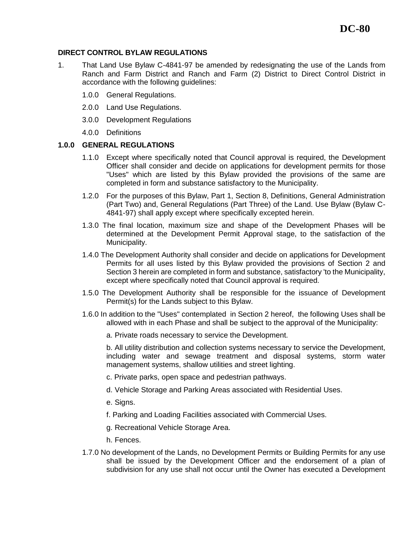### **DIRECT CONTROL BYLAW REGULATIONS**

- 1. That Land Use Bylaw C-4841-97 be amended by redesignating the use of the Lands from Ranch and Farm District and Ranch and Farm (2) District to Direct Control District in accordance with the following guidelines:
	- 1.0.0 General Regulations.
	- 2.0.0 Land Use Regulations.
	- 3.0.0 Development Regulations
	- 4.0.0 Definitions

### **1.0.0 GENERAL REGULATIONS**

- 1.1.0 Except where specifically noted that Council approval is required, the Development Officer shall consider and decide on applications for development permits for those "Uses" which are listed by this Bylaw provided the provisions of the same are completed in form and substance satisfactory to the Municipality.
- 1.2.0 For the purposes of this Bylaw, Part 1, Section 8, Definitions, General Administration (Part Two) and, General Regulations (Part Three) of the Land. Use Bylaw (Bylaw C-4841-97) shall apply except where specifically excepted herein.
- 1.3.0 The final location, maximum size and shape of the Development Phases will be determined at the Development Permit Approval stage, to the satisfaction of the Municipality.
- 1.4.0 The Development Authority shall consider and decide on applications for Development Permits for all uses listed by this Bylaw provided the provisions of Section 2 and Section 3 herein are completed in form and substance, satisfactory 'to the Municipality, except where specifically noted that Council approval is required.
- 1.5.0 The Development Authority shall be responsible for the issuance of Development Permit(s) for the Lands subject to this Bylaw.
- 1.6.0 In addition to the ''Uses" contemplated in Section 2 hereof, the following Uses shall be allowed with in each Phase and shall be subject to the approval of the Municipality:
	- a. Private roads necessary to service the Development.

b. All utility distribution and collection systems necessary to service the Development, including water and sewage treatment and disposal systems, storm water management systems, shallow utilities and street lighting.

- c. Private parks, open space and pedestrian pathways.
- d. Vehicle Storage and Parking Areas associated with Residential Uses.
- e. Signs.
- f. Parking and Loading Facilities associated with Commercial Uses.
- g. Recreational Vehicle Storage Area.
- h. Fences.
- 1.7.0 No development of the Lands, no Development Permits or Building Permits for any use shall be issued by the Development Officer and the endorsement of a plan of subdivision for any use shall not occur until the Owner has executed a Development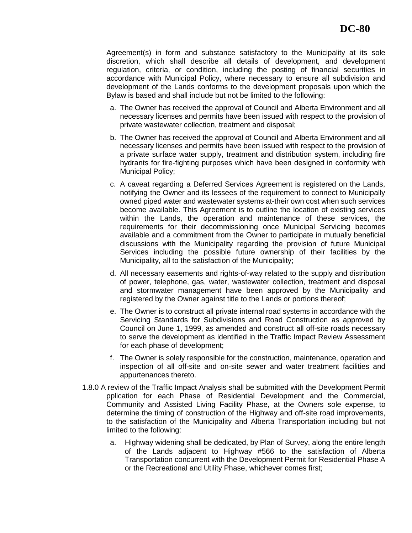Agreement(s) in form and substance satisfactory to the Municipality at its sole discretion, which shall describe all details of development, and development regulation, criteria, or condition, including the posting of financial securities in accordance with Municipal Policy, where necessary to ensure all subdivision and development of the Lands conforms to the development proposals upon which the Bylaw is based and shall include but not be limited to the following:

- a. The Owner has received the approval of Council and Alberta Environment and all necessary licenses and permits have been issued with respect to the provision of private wastewater collection, treatment and disposal;
- b. The Owner has received the approval of Council and Alberta Environment and all necessary licenses and permits have been issued with respect to the provision of a private surface water supply, treatment and distribution system, including fire hydrants for fire-fighting purposes which have been designed in conformity with Municipal Policy;
- c. A caveat regarding a Deferred Services Agreement is registered on the Lands, notifying the Owner and its lessees of the requirement to connect to Municipally owned piped water and wastewater systems at-their own cost when such services become available. This Agreement is to outline the location of existing services within the Lands, the operation and maintenance of these services, the requirements for their decommissioning once Municipal Servicing becomes available and a commitment from the Owner to participate in mutually beneficial discussions with the Municipality regarding the provision of future Municipal Services including the possible future ownership of their facilities by the Municipality, all to the satisfaction of the Municipality;
- d. All necessary easements and rights-of-way related to the supply and distribution of power, telephone, gas, water, wastewater collection, treatment and disposal and stormwater management have been approved by the Municipality and registered by the Owner against title to the Lands or portions thereof;
- e. The Owner is to construct all private internal road systems in accordance with the Servicing Standards for Subdivisions and Road Construction as approved by Council on June 1, 1999, as amended and construct all off-site roads necessary to serve the development as identified in the Traffic Impact Review Assessment for each phase of development;
- f. The Owner is solely responsible for the construction, maintenance, operation and inspection of all off-site and on-site sewer and water treatment facilities and appurtenances thereto.
- 1.8.0 A review of the Traffic Impact Analysis shall be submitted with the Development Permit pplication for each Phase of Residential Development and the Commercial, Community and Assisted Living Facility Phase, at the Owners sole expense, to determine the timing of construction of the Highway and off-site road improvements, to the satisfaction of the Municipality and Alberta Transportation including but not limited to the following:
	- a. Highway widening shall be dedicated, by Plan of Survey, along the entire length of the Lands adjacent to Highway #566 to the satisfaction of Alberta Transportation concurrent with the Development Permit for Residential Phase A or the Recreational and Utility Phase, whichever comes first;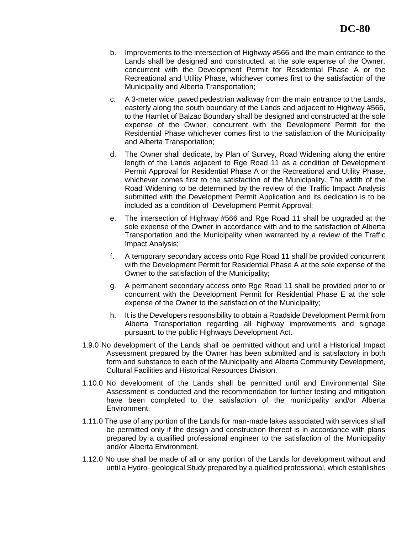- b. Improvements to the intersection of Highway #566 and the main entrance to the Lands shall be designed and constructed, at the sole expense of the Owner, concurrent with the Development Permit for Residential Phase A or the Recreational and Utility Phase, whichever comes first to the satisfaction of the Municipality and Alberta Transportation;
- c. A 3-meter wide, paved pedestrian walkway from the main entrance to the Lands, easterly along the south boundary of the Lands and adjacent to Highway #566, to the Hamlet of Balzac Boundary shall be designed and constructed at the sole expense of the Owner, concurrent with the Development Permit for the Residential Phase whichever comes first to the satisfaction of the Municipality and Alberta Transportation;
- d. The Owner shall dedicate, by Plan of Survey, Road Widening along the entire length of the Lands adjacent to Rge Road 11 as a condition of Development Permit Approval for Residential Phase A or the Recreational and Utility Phase, whichever comes first to the satisfaction of the Municipality. The width of the Road Widening to be determined by the review of the Traffic Impact Analysis submitted with the Development Permit Application and its dedication is to be included as a condition of Development Permit Approval;
- e. The intersection of Highway #566 and Rge Road 11 shall be upgraded at the sole expense of the Owner in accordance with and to the satisfaction of Alberta Transportation and the Municipality when warranted by a review of the Traffic Impact Analysis;
- f. A temporary secondary access onto Rge Road 11 shall be provided concurrent with the Development Permit for Residential Phase A at the sole expense of the Owner to the satisfaction of the Municipality;
- g. A permanent secondary access onto Rge Road 11 shall be provided prior to or concurrent with the Development Permit for Residential Phase E at the sole expense of the Owner to the satisfaction of the Municipality;
- h. It is the Developers responsibility to obtain a Roadside Development Permit from Alberta Transportation regarding all highway improvements and signage pursuant. to the public Highways Development Act.
- 1.9.0 No development of the Lands shall be permitted without and until a Historical Impact Assessment prepared by the Owner has been submitted and is satisfactory in both form and substance to each of the Municipality and Alberta Community Development, Cultural Facilities and Historical Resources Division.
- 1.10.0 No development of the Lands shall be permitted until and Environmental Site Assessment is conducted and the recommendation for further testing and mitigation have been completed to the satisfaction of the municipality and/or Alberta Environment.
- 1.11.0 The use of any portion of the Lands for man-made lakes associated with services shall be permitted only if the design and construction thereof is in accordance with plans prepared by a qualified professional engineer to the satisfaction of the Municipality and/or Alberta Environment.
- 1.12.0 No use shall be made of all or any portion of the Lands for development without and until a Hydro- geological Study prepared by a qualified professional, which establishes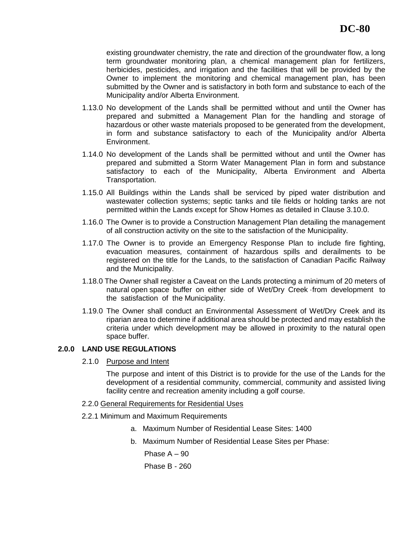existing groundwater chemistry, the rate and direction of the groundwater flow, a long term groundwater monitoring plan, a chemical management plan for fertilizers, herbicides, pesticides, and irrigation and the facilities that will be provided by the Owner to implement the monitoring and chemical management plan, has been submitted by the Owner and is satisfactory in both form and substance to each of the Municipality and/or Alberta Environment.

- 1.13.0 No development of the Lands shall be permitted without and until the Owner has prepared and submitted a Management Plan for the handling and storage of hazardous or other waste materials proposed to be generated from the development, in form and substance satisfactory to each of the Municipality and/or Alberta Environment.
- 1.14.0 No development of the Lands shall be permitted without and until the Owner has prepared and submitted a Storm Water Management Plan in form and substance satisfactory to each of the Municipality, Alberta Environment and Alberta Transportation.
- 1.15.0 All Buildings within the Lands shall be serviced by piped water distribution and wastewater collection systems; septic tanks and tile fields or holding tanks are not permitted within the Lands except for Show Homes as detailed in Clause 3.10.0.
- 1.16.0 The Owner is to provide a Construction Management Plan detailing the management of all construction activity on the site to the satisfaction of the Municipality.
- 1.17.0 The Owner is to provide an Emergency Response Plan to include fire fighting, evacuation measures, containment of hazardous spills and derailments to be registered on the title for the Lands, to the satisfaction of Canadian Pacific Railway and the Municipality.
- 1.18.0 The Owner shall register a Caveat on the Lands protecting a minimum of 20 meters of natural open space buffer on either side of Wet/Dry Creek ·from development to the satisfaction of the Municipality.
- 1.19.0 The Owner shall conduct an Environmental Assessment of Wet/Dry Creek and its riparian area to determine if additional area should be protected and may establish the criteria under which development may be allowed in proximity to the natural open space buffer.

### **2.0.0 LAND USE REGULATIONS**

2.1.0 Purpose and Intent

The purpose and intent of this District is to provide for the use of the Lands for the development of a residential community, commercial, community and assisted living facility centre and recreation amenity including a golf course.

#### 2.2.0 General Requirements for Residential Uses

- 2.2.1 Minimum and Maximum Requirements
	- a. Maximum Number of Residential Lease Sites: 1400
	- b. Maximum Number of Residential Lease Sites per Phase:

Phase  $A - 90$ Phase B - 260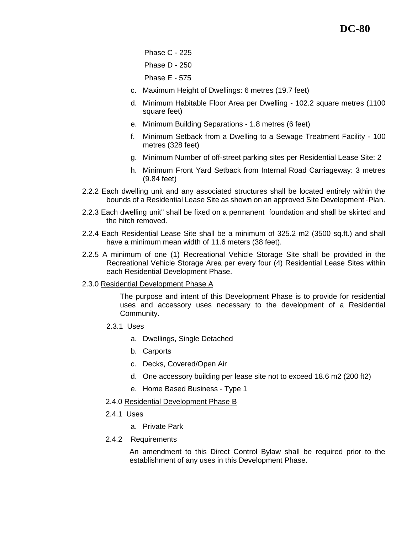Phase C - 225 Phase D - 250 Phase E - 575

- c. Maximum Height of Dwellings: 6 metres (19.7 feet)
- d. Minimum Habitable Floor Area per Dwelling 102.2 square metres (1100 square feet)
- e. Minimum Building Separations 1.8 metres (6 feet)
- f. Minimum Setback from a Dwelling to a Sewage Treatment Facility 100 metres (328 feet)
- g. Minimum Number of off-street parking sites per Residential Lease Site: 2
- h. Minimum Front Yard Setback from Internal Road Carriageway: 3 metres (9.84 feet)
- 2.2.2 Each dwelling unit and any associated structures shall be located entirely within the bounds of a Residential Lease Site as shown on an approved Site Development ·Plan.
- 2.2.3 Each dwelling unit" shall be fixed on a permanent foundation and shall be skirted and the hitch removed.
- 2.2.4 Each Residential Lease Site shall be a minimum of 325.2 m2 (3500 sq.ft.) and shall have a minimum mean width of 11.6 meters (38 feet).
- 2.2.5 A minimum of one (1) Recreational Vehicle Storage Site shall be provided in the Recreational Vehicle Storage Area per every four (4) Residential Lease Sites within each Residential Development Phase.
- 2.3.0 Residential Development Phase A

The purpose and intent of this Development Phase is to provide for residential uses and accessory uses necessary to the development of a Residential Community.

- 2.3.1 Uses
	- a. Dwellings, Single Detached
	- b. Carports
	- c. Decks, Covered/Open Air
	- d. One accessory building per lease site not to exceed 18.6 m2 (200 ft2)
	- e. Home Based Business Type 1
- 2.4.0 Residential Development Phase B
- 2.4.1 Uses
	- a. Private Park
- 2.4.2 Requirements

An amendment to this Direct Control Bylaw shall be required prior to the establishment of any uses in this Development Phase.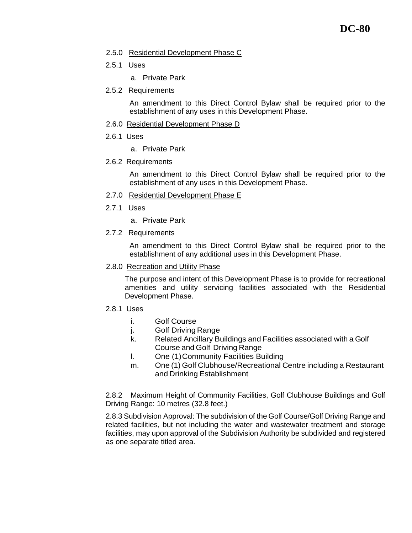#### 2.5.0 Residential Development Phase C

- 2.5.1 Uses
	- a. Private Park
- 2.5.2 Requirements

An amendment to this Direct Control Bylaw shall be required prior to the establishment of any uses in this Development Phase.

- 2.6.0 Residential Development Phase D
- 2.6.1 Uses
	- a. Private Park
- 2.6.2 Requirements

An amendment to this Direct Control Bylaw shall be required prior to the establishment of any uses in this Development Phase.

- 2.7.0 Residential Development Phase E
- 2.7.1 Uses
	- a. Private Park
- 2.7.2 Requirements

An amendment to this Direct Control Bylaw shall be required prior to the establishment of any additional uses in this Development Phase.

2.8.0 Recreation and Utility Phase

The purpose and intent of this Development Phase is to provide for recreational amenities and utility servicing facilities associated with the Residential Development Phase.

- 2.8.1 Uses
	- i. Golf Course
	- j. Golf Driving Range
	- k. Related Ancillary Buildings and Facilities associated with a Golf Course and Golf Driving Range
	- l. One (1)Community Facilities Building
	- m. One (1) Golf Clubhouse/Recreational Centre including a Restaurant and Drinking Establishment

2.8.2 Maximum Height of Community Facilities, Golf Clubhouse Buildings and Golf Driving Range: 10 metres (32.8 feet.)

2.8.3 Subdivision Approval: The subdivision of the Golf Course/Golf Driving Range and related facilities, but not including the water and wastewater treatment and storage facilities, may upon approval of the Subdivision Authority be subdivided and registered as one separate titled area.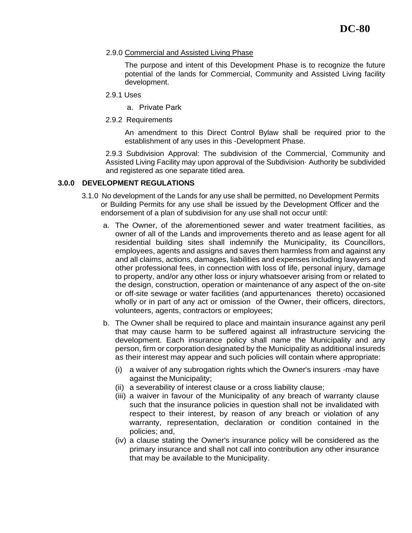#### 2.9.0 Commercial and Assisted Living Phase

The purpose and intent of this Development Phase is to recognize the future potential of the lands for Commercial, Community and Assisted Living facility development.

- 2.9.1 Uses
	- a. Private Park
- 2.9.2 Requirements

An amendment to this Direct Control Bylaw shall be required prior to the establishment of any uses in this -Development Phase.

2.9.3 Subdivision Approval: The subdivision of the Commercial, Community and Assisted Living Facility may upon approval of the Subdivision· Authority be subdivided and registered as one separate titled area.

### **3.0.0 DEVELOPMENT REGULATIONS**

- 3.1.0 No development of the Lands for any use shall be permitted, no Development Permits or Building Permits for any use shall be issued by the Development Officer and the endorsement of a plan of subdivision for any use shall not occur until:
	- a. The Owner, of the aforementioned sewer and water treatment facilities, as owner of all of the Lands and improvements thereto and as lease agent for all residential building sites shall indemnify the Municipality, its Councillors, employees, agents and assigns and saves them harmless from and against any and all claims, actions, damages, liabilities and expenses including lawyers and other professional fees, in connection with loss of life, personal injury, damage to property, and/or any other loss or injury whatsoever arising from or related to the design, construction, operation or maintenance of any aspect of the on-site or off-site sewage or water facilities (and appurtenances thereto) occasioned wholly or in part of any act or omission of the Owner, their officers, directors, volunteers, agents, contractors or employees;
	- b. The Owner shall be required to place and maintain insurance against any peril that may cause harm to be suffered against all infrastructure servicing the development. Each insurance policy shall name the Municipality and any person, firm or corporation designated by the Municipality as additional insureds as their interest may appear and such policies will contain where appropriate:
		- (i) a waiver of any subrogation rights which the Owner's insurers -may have against the Municipality;
		- (ii) a severability of interest clause or a cross liability clause;
		- (iii) a waiver in favour of the Municipality of any breach of warranty clause such that the insurance policies in question shall not be invalidated with respect to their interest, by reason of any breach or violation of any warranty, representation, declaration or condition contained in the policies; and,
		- (iv) a clause stating the Owner's insurance policy will be considered as the primary insurance and shall not call into contribution any other insurance that may be available to the Municipality.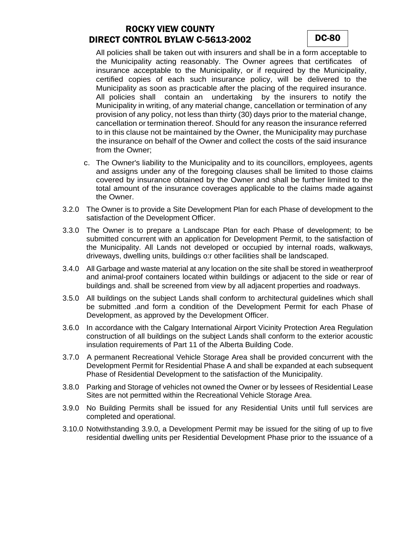## ROCKY VIEW COUNTY DIRECT CONTROL BYLAW C-5613-2002 DC-80

All policies shall be taken out with insurers and shall be in a form acceptable to the Municipality acting reasonably. The Owner agrees that certificates of insurance acceptable to the Municipality, or if required by the Municipality, certified copies of each such insurance policy, will be delivered to the Municipality as soon as practicable after the placing of the required insurance. All policies shall contain an undertaking by the insurers to notify the Municipality in writing, of any material change, cancellation or termination of any provision of any policy, not less than thirty (30) days prior to the material change, cancellation or termination thereof. Should for any reason the insurance referred to in this clause not be maintained by the Owner, the Municipality may purchase the insurance on behalf of the Owner and collect the costs of the said insurance from the Owner;

- c. The Owner's liability to the Municipality and to its councillors, employees, agents and assigns under any of the foregoing clauses shall be limited to those claims covered by insurance obtained by the Owner and shall be further limited to the total amount of the insurance coverages applicable to the claims made against the Owner.
- 3.2.0 The Owner is to provide a Site Development Plan for each Phase of development to the satisfaction of the Development Officer.
- 3.3.0 The Owner is to prepare a Landscape Plan for each Phase of development; to be submitted concurrent with an application for Development Permit, to the satisfaction of the Municipality. All Lands not developed or occupied by internal roads, walkways, driveways, dwelling units, buildings o:r other facilities shall be landscaped.
- 3.4.0 All Garbage and waste material at any location on the site shall be stored in weatherproof and animal-proof containers located within buildings or adjacent to the side or rear of buildings and. shall be screened from view by all adjacent properties and roadways.
- 3.5.0 All buildings on the subject Lands shall conform to architectural guidelines which shall be submitted .and form a condition of the Development Permit for each Phase of Development, as approved by the Development Officer.
- 3.6.0 In accordance with the Calgary International Airport Vicinity Protection Area Regulation construction of all buildings on the subject Lands shall conform to the exterior acoustic insulation requirements of Part 11 of the Alberta Building Code.
- 3.7.0 A permanent Recreational Vehicle Storage Area shall be provided concurrent with the Development Permit for Residential Phase A and shall be expanded at each subsequent Phase of Residential Development to the satisfaction of the Municipality.
- 3.8.0 Parking and Storage of vehicles not owned the Owner or by lessees of Residential Lease Sites are not permitted within the Recreational Vehicle Storage Area.
- 3.9.0 No Building Permits shall be issued for any Residential Units until full services are completed and operational.
- 3.10.0 Notwithstanding 3.9.0, a Development Permit may be issued for the siting of up to five residential dwelling units per Residential Development Phase prior to the issuance of a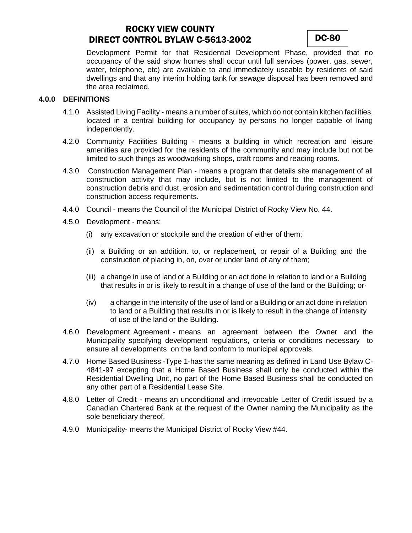## ROCKY VIEW COUNTY DIRECT CONTROL BYLAW C-5613-2002 DC-80



Development Permit for that Residential Development Phase, provided that no occupancy of the said show homes shall occur until full services (power, gas, sewer, water, telephone, etc) are available to and immediately useable by residents of said dwellings and that any interim holding tank for sewage disposal has been removed and the area reclaimed.

#### **4.0.0 DEFINITIONS**

- 4.1.0 Assisted Living Facility means a number of suites, which do not contain kitchen facilities, located in a central building for occupancy by persons no longer capable of living independently.
- 4.2.0 Community Facilities Building means a building in which recreation and leisure amenities are provided for the residents of the community and may include but not be limited to such things as woodworking shops, craft rooms and reading rooms.
- 4.3.0 Construction Management Plan means a program that details site management of all construction activity that may include, but is not limited to the management of construction debris and dust, erosion and sedimentation control during construction and construction access requirements.
- 4.4.0 Council means the Council of the Municipal District of Rocky View No. 44.
- 4.5.0 Development means:
	- (i) any excavation or stockpile and the creation of either of them;
	- (ii) a Building or an addition. to, or replacement, or repair of a Building and the construction of placing in, on, over or under land of any of them;
	- (iii) a change in use of land or a Building or an act done in relation to land or a Building that results in or is likely to result in a change of use of the land or the Building; or·
	- (iv) a change in the intensity of the use of land or a Building or an act done in relation to land or a Building that results in or is likely to result in the change of intensity of use of the land or the Building.
- 4.6.0 Development Agreement means an agreement between the Owner and the Municipality specifying development regulations, criteria or conditions necessary to ensure all developments on the land conform to municipal approvals.
- 4.7.0 Home Based Business -Type 1-has the same meaning as defined in Land Use Bylaw C-4841-97 excepting that a Home Based Business shall only be conducted within the Residential Dwelling Unit, no part of the Home Based Business shall be conducted on any other part of a Residential Lease Site.
- 4.8.0 Letter of Credit means an unconditional and irrevocable Letter of Credit issued by a Canadian Chartered Bank at the request of the Owner naming the Municipality as the sole beneficiary thereof.
- 4.9.0 Municipality- means the Municipal District of Rocky View #44.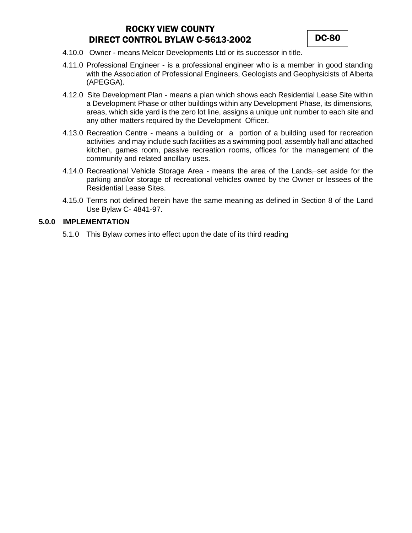# ROCKY VIEW COUNTY DIRECT CONTROL BYLAW C-5613-2002 DC-80

- 4.10.0 Owner means Melcor Developments Ltd or its successor in title.
- 4.11.0 Professional Engineer is a professional engineer who is a member in good standing with the Association of Professional Engineers, Geologists and Geophysicists of Alberta (APEGGA).
- 4.12.0 Site Development Plan means a plan which shows each Residential Lease Site within a Development Phase or other buildings within any Development Phase, its dimensions, areas, which side yard is the zero lot line, assigns a unique unit number to each site and any other matters required by the Development Officer.
- 4.13.0 Recreation Centre means a building or a portion of a building used for recreation activities and may include such facilities as a swimming pool, assembly hall and attached kitchen, games room, passive recreation rooms, offices for the management of the community and related ancillary uses.
- 4.14.0 Recreational Vehicle Storage Area means the area of the Lands, set aside for the parking and/or storage of recreational vehicles owned by the Owner or lessees of the Residential Lease Sites.
- 4.15.0 Terms not defined herein have the same meaning as defined in Section 8 of the Land Use Bylaw C- 4841-97.

### **5.0.0 IMPLEMENTATION**

5.1.0 This Bylaw comes into effect upon the date of its third reading